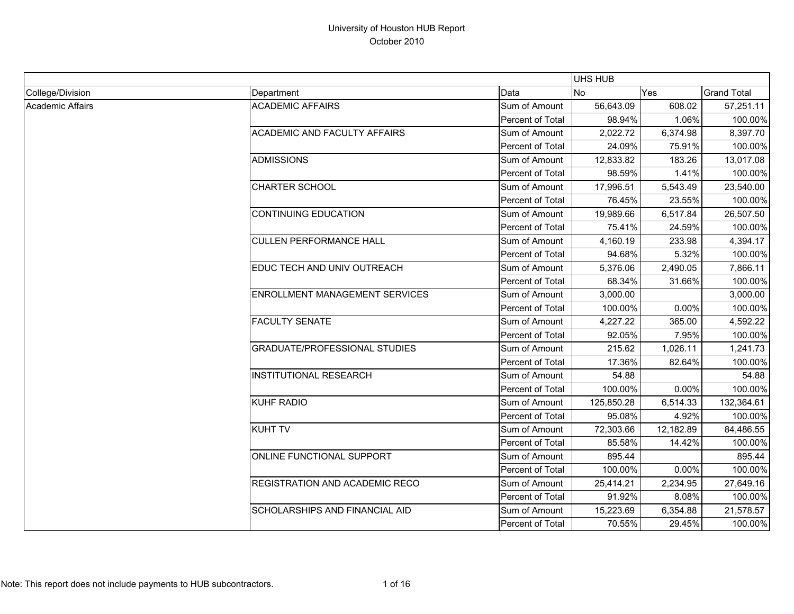|                         |                                       |                  | <b>UHS HUB</b> |           |                    |
|-------------------------|---------------------------------------|------------------|----------------|-----------|--------------------|
| College/Division        | Department                            | Data             | <b>No</b>      | Yes       | <b>Grand Total</b> |
| <b>Academic Affairs</b> | <b>ACADEMIC AFFAIRS</b>               | Sum of Amount    | 56,643.09      | 608.02    | 57,251.11          |
|                         |                                       | Percent of Total | 98.94%         | 1.06%     | 100.00%            |
|                         | <b>ACADEMIC AND FACULTY AFFAIRS</b>   | Sum of Amount    | 2,022.72       | 6,374.98  | 8,397.70           |
|                         |                                       | Percent of Total | 24.09%         | 75.91%    | 100.00%            |
|                         | <b>ADMISSIONS</b>                     | Sum of Amount    | 12.833.82      | 183.26    | 13,017.08          |
|                         |                                       | Percent of Total | 98.59%         | 1.41%     | 100.00%            |
|                         | <b>CHARTER SCHOOL</b>                 | Sum of Amount    | 17,996.51      | 5,543.49  | 23,540.00          |
|                         |                                       | Percent of Total | 76.45%         | 23.55%    | 100.00%            |
|                         | <b>CONTINUING EDUCATION</b>           | Sum of Amount    | 19,989.66      | 6,517.84  | 26,507.50          |
|                         |                                       | Percent of Total | 75.41%         | 24.59%    | 100.00%            |
|                         | <b>CULLEN PERFORMANCE HALL</b>        | Sum of Amount    | 4,160.19       | 233.98    | 4,394.17           |
|                         |                                       | Percent of Total | 94.68%         | 5.32%     | 100.00%            |
|                         | EDUC TECH AND UNIV OUTREACH           | Sum of Amount    | 5,376.06       | 2,490.05  | 7,866.11           |
|                         |                                       | Percent of Total | 68.34%         | 31.66%    | 100.00%            |
|                         | <b>ENROLLMENT MANAGEMENT SERVICES</b> | Sum of Amount    | 3,000.00       |           | 3,000.00           |
|                         |                                       | Percent of Total | 100.00%        | 0.00%     | 100.00%            |
|                         | <b>FACULTY SENATE</b>                 | Sum of Amount    | 4,227.22       | 365.00    | 4,592.22           |
|                         |                                       | Percent of Total | 92.05%         | 7.95%     | 100.00%            |
|                         | <b>GRADUATE/PROFESSIONAL STUDIES</b>  | Sum of Amount    | 215.62         | 1,026.11  | 1,241.73           |
|                         |                                       | Percent of Total | 17.36%         | 82.64%    | 100.00%            |
|                         | <b>INSTITUTIONAL RESEARCH</b>         | Sum of Amount    | 54.88          |           | 54.88              |
|                         |                                       | Percent of Total | 100.00%        | 0.00%     | 100.00%            |
|                         | <b>KUHF RADIO</b>                     | Sum of Amount    | 125,850.28     | 6,514.33  | 132,364.61         |
|                         |                                       | Percent of Total | 95.08%         | 4.92%     | 100.00%            |
|                         | <b>KUHT TV</b>                        | Sum of Amount    | 72,303.66      | 12,182.89 | 84,486.55          |
|                         |                                       | Percent of Total | 85.58%         | 14.42%    | 100.00%            |
|                         | ONLINE FUNCTIONAL SUPPORT             | Sum of Amount    | 895.44         |           | 895.44             |
|                         |                                       | Percent of Total | 100.00%        | 0.00%     | 100.00%            |
|                         | REGISTRATION AND ACADEMIC RECO        | Sum of Amount    | 25,414.21      | 2,234.95  | 27,649.16          |
|                         |                                       | Percent of Total | 91.92%         | 8.08%     | 100.00%            |
|                         | <b>SCHOLARSHIPS AND FINANCIAL AID</b> | Sum of Amount    | 15,223.69      | 6,354.88  | 21,578.57          |
|                         |                                       | Percent of Total | 70.55%         | 29.45%    | 100.00%            |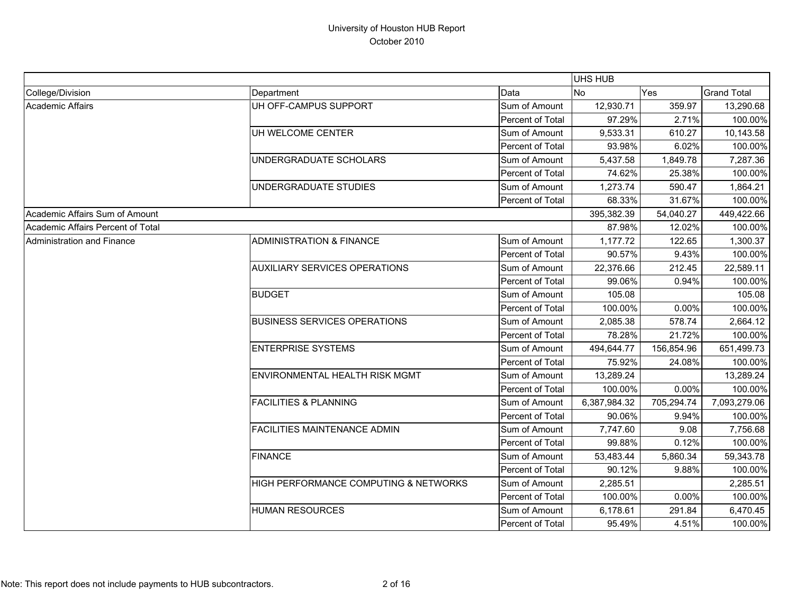|                                   |                                       |                  | <b>UHS HUB</b> |            |                    |
|-----------------------------------|---------------------------------------|------------------|----------------|------------|--------------------|
| College/Division                  | Department                            | Data             | <b>No</b>      | Yes        | <b>Grand Total</b> |
| Academic Affairs                  | UH OFF-CAMPUS SUPPORT                 | Sum of Amount    | 12,930.71      | 359.97     | 13,290.68          |
|                                   |                                       | Percent of Total | 97.29%         | 2.71%      | 100.00%            |
|                                   | UH WELCOME CENTER                     | Sum of Amount    | 9,533.31       | 610.27     | 10,143.58          |
|                                   |                                       | Percent of Total | 93.98%         | 6.02%      | 100.00%            |
|                                   | UNDERGRADUATE SCHOLARS                | Sum of Amount    | 5,437.58       | 1,849.78   | 7,287.36           |
|                                   |                                       | Percent of Total | 74.62%         | 25.38%     | 100.00%            |
|                                   | UNDERGRADUATE STUDIES                 | Sum of Amount    | 1,273.74       | 590.47     | 1,864.21           |
|                                   |                                       | Percent of Total | 68.33%         | 31.67%     | 100.00%            |
| Academic Affairs Sum of Amount    |                                       |                  | 395,382.39     | 54,040.27  | 449,422.66         |
| Academic Affairs Percent of Total |                                       |                  | 87.98%         | 12.02%     | 100.00%            |
| Administration and Finance        | <b>ADMINISTRATION &amp; FINANCE</b>   | Sum of Amount    | 1,177.72       | 122.65     | 1,300.37           |
|                                   |                                       | Percent of Total | 90.57%         | 9.43%      | 100.00%            |
|                                   | <b>AUXILIARY SERVICES OPERATIONS</b>  | Sum of Amount    | 22,376.66      | 212.45     | 22,589.11          |
|                                   |                                       | Percent of Total | 99.06%         | 0.94%      | 100.00%            |
|                                   | <b>BUDGET</b>                         | Sum of Amount    | 105.08         |            | 105.08             |
|                                   |                                       | Percent of Total | 100.00%        | 0.00%      | 100.00%            |
|                                   | <b>BUSINESS SERVICES OPERATIONS</b>   | Sum of Amount    | 2.085.38       | 578.74     | 2,664.12           |
|                                   |                                       | Percent of Total | 78.28%         | 21.72%     | 100.00%            |
|                                   | <b>ENTERPRISE SYSTEMS</b>             | Sum of Amount    | 494,644.77     | 156,854.96 | 651,499.73         |
|                                   |                                       | Percent of Total | 75.92%         | 24.08%     | 100.00%            |
|                                   | <b>ENVIRONMENTAL HEALTH RISK MGMT</b> | Sum of Amount    | 13,289.24      |            | 13,289.24          |
|                                   |                                       | Percent of Total | 100.00%        | 0.00%      | 100.00%            |
|                                   | <b>FACILITIES &amp; PLANNING</b>      | Sum of Amount    | 6,387,984.32   | 705,294.74 | 7,093,279.06       |
|                                   |                                       | Percent of Total | 90.06%         | 9.94%      | 100.00%            |
|                                   | <b>FACILITIES MAINTENANCE ADMIN</b>   | Sum of Amount    | 7,747.60       | 9.08       | 7,756.68           |
|                                   |                                       | Percent of Total | 99.88%         | 0.12%      | 100.00%            |
|                                   | <b>FINANCE</b>                        | Sum of Amount    | 53,483.44      | 5,860.34   | 59,343.78          |
|                                   |                                       | Percent of Total | 90.12%         | 9.88%      | 100.00%            |
|                                   | HIGH PERFORMANCE COMPUTING & NETWORKS | Sum of Amount    | 2,285.51       |            | 2,285.51           |
|                                   |                                       | Percent of Total | 100.00%        | 0.00%      | 100.00%            |
|                                   | <b>HUMAN RESOURCES</b>                | Sum of Amount    | 6,178.61       | 291.84     | 6,470.45           |
|                                   |                                       | Percent of Total | 95.49%         | 4.51%      | 100.00%            |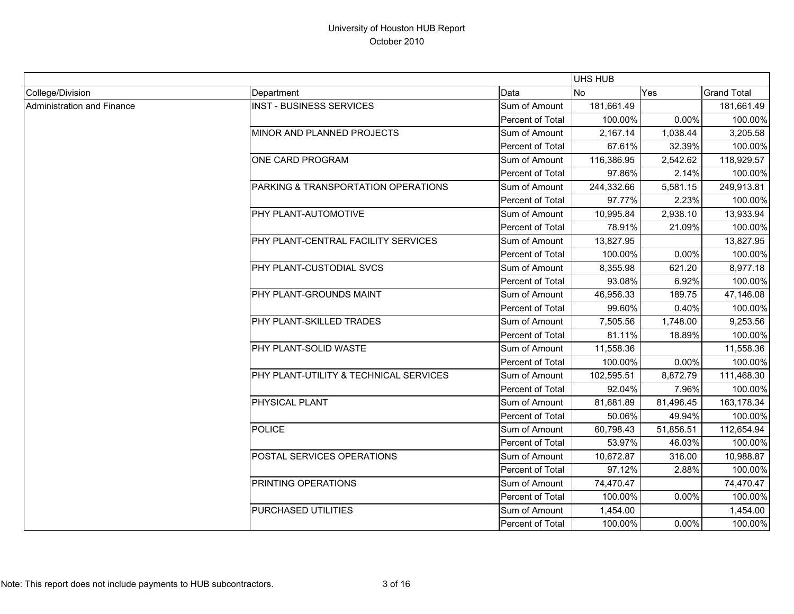|                            |                                        |                  | UHS HUB    |           |                    |
|----------------------------|----------------------------------------|------------------|------------|-----------|--------------------|
| College/Division           | Department                             | Data             | <b>No</b>  | Yes       | <b>Grand Total</b> |
| Administration and Finance | <b>INST - BUSINESS SERVICES</b>        | Sum of Amount    | 181,661.49 |           | 181,661.49         |
|                            |                                        | Percent of Total | 100.00%    | 0.00%     | 100.00%            |
|                            | MINOR AND PLANNED PROJECTS             | Sum of Amount    | 2,167.14   | 1,038.44  | 3,205.58           |
|                            |                                        | Percent of Total | 67.61%     | 32.39%    | 100.00%            |
|                            | ONE CARD PROGRAM                       | Sum of Amount    | 116,386.95 | 2,542.62  | 118,929.57         |
|                            |                                        | Percent of Total | 97.86%     | 2.14%     | 100.00%            |
|                            | PARKING & TRANSPORTATION OPERATIONS    | Sum of Amount    | 244,332.66 | 5,581.15  | 249,913.81         |
|                            |                                        | Percent of Total | 97.77%     | 2.23%     | 100.00%            |
|                            | PHY PLANT-AUTOMOTIVE                   | Sum of Amount    | 10,995.84  | 2,938.10  | 13,933.94          |
|                            |                                        | Percent of Total | 78.91%     | 21.09%    | 100.00%            |
|                            | PHY PLANT-CENTRAL FACILITY SERVICES    | Sum of Amount    | 13,827.95  |           | 13,827.95          |
|                            |                                        | Percent of Total | 100.00%    | 0.00%     | 100.00%            |
|                            | PHY PLANT-CUSTODIAL SVCS               | Sum of Amount    | 8,355.98   | 621.20    | 8,977.18           |
|                            |                                        | Percent of Total | 93.08%     | 6.92%     | 100.00%            |
|                            | PHY PLANT-GROUNDS MAINT                | Sum of Amount    | 46,956.33  | 189.75    | 47,146.08          |
|                            |                                        | Percent of Total | 99.60%     | 0.40%     | 100.00%            |
|                            | PHY PLANT-SKILLED TRADES               | Sum of Amount    | 7,505.56   | 1,748.00  | 9,253.56           |
|                            |                                        | Percent of Total | 81.11%     | 18.89%    | 100.00%            |
|                            | PHY PLANT-SOLID WASTE                  | Sum of Amount    | 11,558.36  |           | 11,558.36          |
|                            |                                        | Percent of Total | 100.00%    | 0.00%     | 100.00%            |
|                            | PHY PLANT-UTILITY & TECHNICAL SERVICES | Sum of Amount    | 102,595.51 | 8,872.79  | 111,468.30         |
|                            |                                        | Percent of Total | 92.04%     | 7.96%     | 100.00%            |
|                            | <b>PHYSICAL PLANT</b>                  | Sum of Amount    | 81,681.89  | 81,496.45 | 163,178.34         |
|                            |                                        | Percent of Total | 50.06%     | 49.94%    | 100.00%            |
|                            | <b>POLICE</b>                          | Sum of Amount    | 60,798.43  | 51,856.51 | 112,654.94         |
|                            |                                        | Percent of Total | 53.97%     | 46.03%    | 100.00%            |
|                            | POSTAL SERVICES OPERATIONS             | Sum of Amount    | 10,672.87  | 316.00    | 10,988.87          |
|                            |                                        | Percent of Total | 97.12%     | 2.88%     | 100.00%            |
|                            | PRINTING OPERATIONS                    | Sum of Amount    | 74,470.47  |           | 74,470.47          |
|                            |                                        | Percent of Total | 100.00%    | 0.00%     | 100.00%            |
|                            | PURCHASED UTILITIES                    | Sum of Amount    | 1,454.00   |           | 1,454.00           |
|                            |                                        | Percent of Total | 100.00%    | 0.00%     | 100.00%            |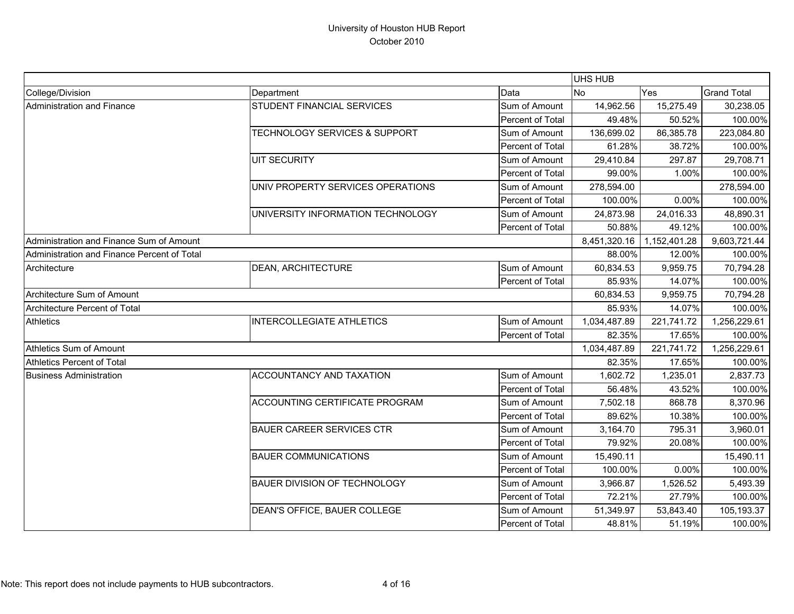|                                             |                                          |                  | <b>UHS HUB</b> |              |                    |
|---------------------------------------------|------------------------------------------|------------------|----------------|--------------|--------------------|
| College/Division                            | Department                               | Data             | <b>No</b>      | Yes          | <b>Grand Total</b> |
| Administration and Finance                  | STUDENT FINANCIAL SERVICES               | Sum of Amount    | 14,962.56      | 15,275.49    | 30,238.05          |
|                                             |                                          | Percent of Total | 49.48%         | 50.52%       | 100.00%            |
|                                             | <b>TECHNOLOGY SERVICES &amp; SUPPORT</b> | Sum of Amount    | 136,699.02     | 86,385.78    | 223,084.80         |
|                                             |                                          | Percent of Total | 61.28%         | 38.72%       | 100.00%            |
|                                             | <b>UIT SECURITY</b>                      | Sum of Amount    | 29,410.84      | 297.87       | 29,708.71          |
|                                             |                                          | Percent of Total | 99.00%         | 1.00%        | 100.00%            |
|                                             | UNIV PROPERTY SERVICES OPERATIONS        | Sum of Amount    | 278,594.00     |              | 278,594.00         |
|                                             |                                          | Percent of Total | 100.00%        | 0.00%        | 100.00%            |
|                                             | UNIVERSITY INFORMATION TECHNOLOGY        | Sum of Amount    | 24,873.98      | 24,016.33    | 48,890.31          |
|                                             |                                          | Percent of Total | 50.88%         | 49.12%       | 100.00%            |
| Administration and Finance Sum of Amount    |                                          |                  | 8,451,320.16   | 1,152,401.28 | 9,603,721.44       |
| Administration and Finance Percent of Total |                                          |                  | 88.00%         | 12.00%       | 100.00%            |
| Architecture                                | <b>DEAN, ARCHITECTURE</b>                | Sum of Amount    | 60,834.53      | 9,959.75     | 70,794.28          |
|                                             |                                          | Percent of Total | 85.93%         | 14.07%       | 100.00%            |
| Architecture Sum of Amount                  |                                          |                  | 60,834.53      | 9,959.75     | 70,794.28          |
| Architecture Percent of Total               |                                          |                  | 85.93%         | 14.07%       | 100.00%            |
| <b>Athletics</b>                            | <b>INTERCOLLEGIATE ATHLETICS</b>         | Sum of Amount    | 1,034,487.89   | 221,741.72   | 1,256,229.61       |
|                                             |                                          | Percent of Total | 82.35%         | 17.65%       | 100.00%            |
| <b>Athletics Sum of Amount</b>              |                                          |                  | 1,034,487.89   | 221,741.72   | 1,256,229.61       |
| <b>Athletics Percent of Total</b>           |                                          |                  | 82.35%         | 17.65%       | 100.00%            |
| <b>Business Administration</b>              | ACCOUNTANCY AND TAXATION                 | Sum of Amount    | 1,602.72       | 1,235.01     | 2,837.73           |
|                                             |                                          | Percent of Total | 56.48%         | 43.52%       | 100.00%            |
|                                             | ACCOUNTING CERTIFICATE PROGRAM           | Sum of Amount    | 7,502.18       | 868.78       | 8,370.96           |
|                                             |                                          | Percent of Total | 89.62%         | 10.38%       | 100.00%            |
|                                             | <b>BAUER CAREER SERVICES CTR</b>         | Sum of Amount    | 3,164.70       | 795.31       | 3,960.01           |
|                                             |                                          | Percent of Total | 79.92%         | 20.08%       | 100.00%            |
|                                             | <b>BAUER COMMUNICATIONS</b>              | Sum of Amount    | 15,490.11      |              | 15,490.11          |
|                                             |                                          | Percent of Total | 100.00%        | 0.00%        | 100.00%            |
|                                             | <b>BAUER DIVISION OF TECHNOLOGY</b>      | Sum of Amount    | 3,966.87       | 1,526.52     | 5,493.39           |
|                                             |                                          | Percent of Total | 72.21%         | 27.79%       | 100.00%            |
|                                             | DEAN'S OFFICE, BAUER COLLEGE             | Sum of Amount    | 51,349.97      | 53,843.40    | 105,193.37         |
|                                             |                                          | Percent of Total | 48.81%         | 51.19%       | 100.00%            |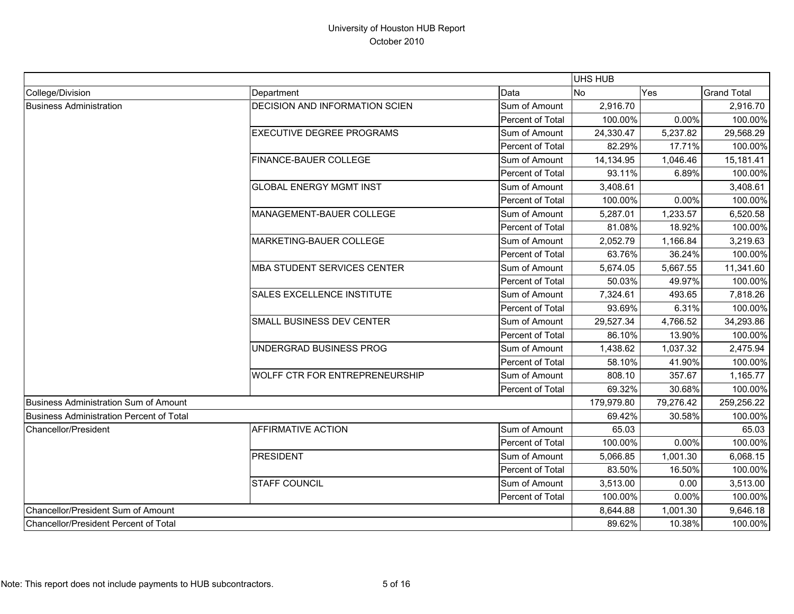|                                               |                                       |                         | UHS HUB    |           |                    |
|-----------------------------------------------|---------------------------------------|-------------------------|------------|-----------|--------------------|
| College/Division                              | Department                            | Data                    | No         | Yes       | <b>Grand Total</b> |
| <b>Business Administration</b>                | DECISION AND INFORMATION SCIEN        | Sum of Amount           | 2,916.70   |           | 2,916.70           |
|                                               |                                       | Percent of Total        | 100.00%    | 0.00%     | 100.00%            |
|                                               | EXECUTIVE DEGREE PROGRAMS             | Sum of Amount           | 24,330.47  | 5,237.82  | 29,568.29          |
|                                               |                                       | Percent of Total        | 82.29%     | 17.71%    | 100.00%            |
|                                               | FINANCE-BAUER COLLEGE                 | Sum of Amount           | 14,134.95  | 1,046.46  | 15,181.41          |
|                                               |                                       | Percent of Total        | 93.11%     | 6.89%     | 100.00%            |
|                                               | <b>GLOBAL ENERGY MGMT INST</b>        | Sum of Amount           | 3,408.61   |           | 3,408.61           |
|                                               |                                       | <b>Percent of Total</b> | 100.00%    | 0.00%     | 100.00%            |
|                                               | MANAGEMENT-BAUER COLLEGE              | Sum of Amount           | 5,287.01   | 1,233.57  | 6,520.58           |
|                                               |                                       | Percent of Total        | 81.08%     | 18.92%    | 100.00%            |
|                                               | MARKETING-BAUER COLLEGE               | Sum of Amount           | 2,052.79   | 1,166.84  | 3,219.63           |
|                                               |                                       | Percent of Total        | 63.76%     | 36.24%    | 100.00%            |
|                                               | <b>MBA STUDENT SERVICES CENTER</b>    | Sum of Amount           | 5,674.05   | 5,667.55  | 11,341.60          |
|                                               |                                       | Percent of Total        | 50.03%     | 49.97%    | 100.00%            |
|                                               | SALES EXCELLENCE INSTITUTE            | Sum of Amount           | 7,324.61   | 493.65    | 7,818.26           |
|                                               |                                       | Percent of Total        | 93.69%     | 6.31%     | 100.00%            |
|                                               | SMALL BUSINESS DEV CENTER             | Sum of Amount           | 29,527.34  | 4,766.52  | 34,293.86          |
|                                               |                                       | Percent of Total        | 86.10%     | 13.90%    | 100.00%            |
|                                               | UNDERGRAD BUSINESS PROG               | Sum of Amount           | 1,438.62   | 1,037.32  | 2,475.94           |
|                                               |                                       | <b>Percent of Total</b> | 58.10%     | 41.90%    | 100.00%            |
|                                               | <b>WOLFF CTR FOR ENTREPRENEURSHIP</b> | Sum of Amount           | 808.10     | 357.67    | 1,165.77           |
|                                               |                                       | Percent of Total        | 69.32%     | 30.68%    | 100.00%            |
| Business Administration Sum of Amount         |                                       |                         | 179,979.80 | 79,276.42 | 259,256.22         |
| Business Administration Percent of Total      |                                       |                         | 69.42%     | 30.58%    | 100.00%            |
| Chancellor/President                          | AFFIRMATIVE ACTION                    | Sum of Amount           | 65.03      |           | 65.03              |
|                                               |                                       | Percent of Total        | 100.00%    | 0.00%     | 100.00%            |
|                                               | <b>PRESIDENT</b>                      | Sum of Amount           | 5,066.85   | 1,001.30  | 6,068.15           |
|                                               |                                       | Percent of Total        | 83.50%     | 16.50%    | 100.00%            |
|                                               | STAFF COUNCIL                         | Sum of Amount           | 3,513.00   | 0.00      | 3,513.00           |
|                                               |                                       | Percent of Total        | 100.00%    | 0.00%     | 100.00%            |
| Chancellor/President Sum of Amount            |                                       |                         | 8,644.88   | 1,001.30  | 9,646.18           |
| <b>IChancellor/President Percent of Total</b> |                                       |                         | 89.62%     | 10.38%    | 100.00%            |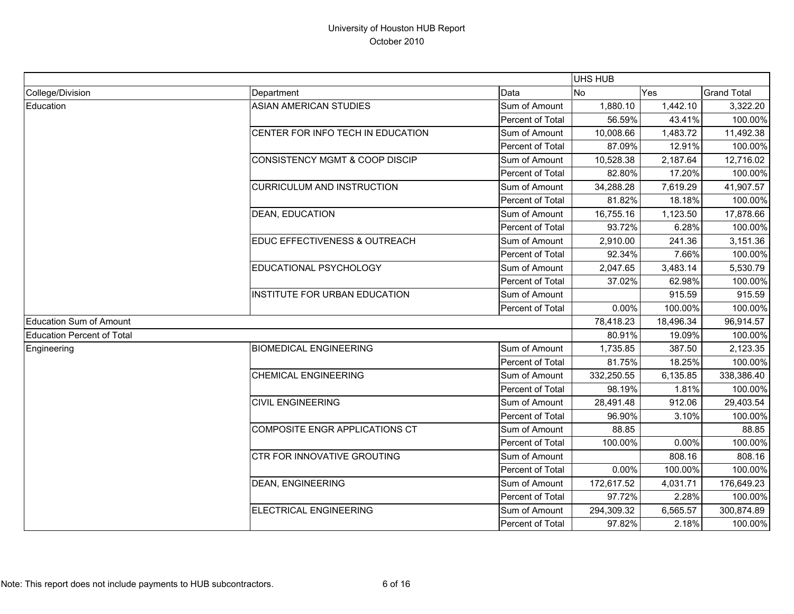|                                   |                                          |                         | <b>UHS HUB</b> |           |                    |
|-----------------------------------|------------------------------------------|-------------------------|----------------|-----------|--------------------|
| College/Division                  | Department                               | Data                    | No             | Yes       | <b>Grand Total</b> |
| Education                         | <b>ASIAN AMERICAN STUDIES</b>            | Sum of Amount           | 1,880.10       | 1,442.10  | 3,322.20           |
|                                   |                                          | Percent of Total        | 56.59%         | 43.41%    | 100.00%            |
|                                   | CENTER FOR INFO TECH IN EDUCATION        | Sum of Amount           | 10,008.66      | 1,483.72  | 11,492.38          |
|                                   |                                          | Percent of Total        | 87.09%         | 12.91%    | 100.00%            |
|                                   | CONSISTENCY MGMT & COOP DISCIP           | Sum of Amount           | 10,528.38      | 2,187.64  | 12,716.02          |
|                                   |                                          | Percent of Total        | 82.80%         | 17.20%    | 100.00%            |
|                                   | <b>CURRICULUM AND INSTRUCTION</b>        | Sum of Amount           | 34,288.28      | 7,619.29  | 41,907.57          |
|                                   |                                          | <b>Percent of Total</b> | 81.82%         | 18.18%    | 100.00%            |
|                                   | <b>DEAN, EDUCATION</b>                   | Sum of Amount           | 16,755.16      | 1,123.50  | 17,878.66          |
|                                   |                                          | Percent of Total        | 93.72%         | 6.28%     | 100.00%            |
|                                   | <b>EDUC EFFECTIVENESS &amp; OUTREACH</b> | Sum of Amount           | 2,910.00       | 241.36    | 3,151.36           |
|                                   |                                          | Percent of Total        | 92.34%         | 7.66%     | 100.00%            |
|                                   | <b>EDUCATIONAL PSYCHOLOGY</b>            | Sum of Amount           | 2,047.65       | 3,483.14  | 5,530.79           |
|                                   |                                          | Percent of Total        | 37.02%         | 62.98%    | 100.00%            |
|                                   | <b>INSTITUTE FOR URBAN EDUCATION</b>     | Sum of Amount           |                | 915.59    | 915.59             |
|                                   |                                          | Percent of Total        | 0.00%          | 100.00%   | 100.00%            |
| Education Sum of Amount           |                                          |                         | 78,418.23      | 18,496.34 | 96,914.57          |
| <b>Education Percent of Total</b> |                                          |                         | 80.91%         | 19.09%    | 100.00%            |
| Engineering                       | <b>BIOMEDICAL ENGINEERING</b>            | Sum of Amount           | 1,735.85       | 387.50    | 2,123.35           |
|                                   |                                          | Percent of Total        | 81.75%         | 18.25%    | 100.00%            |
|                                   | <b>CHEMICAL ENGINEERING</b>              | Sum of Amount           | 332,250.55     | 6,135.85  | 338,386.40         |
|                                   |                                          | Percent of Total        | 98.19%         | 1.81%     | 100.00%            |
|                                   | <b>CIVIL ENGINEERING</b>                 | Sum of Amount           | 28,491.48      | 912.06    | 29,403.54          |
|                                   |                                          | Percent of Total        | 96.90%         | 3.10%     | 100.00%            |
|                                   | COMPOSITE ENGR APPLICATIONS CT           | Sum of Amount           | 88.85          |           | 88.85              |
|                                   |                                          | Percent of Total        | 100.00%        | 0.00%     | 100.00%            |
|                                   | <b>CTR FOR INNOVATIVE GROUTING</b>       | Sum of Amount           |                | 808.16    | 808.16             |
|                                   |                                          | Percent of Total        | 0.00%          | 100.00%   | 100.00%            |
|                                   | <b>DEAN, ENGINEERING</b>                 | Sum of Amount           | 172,617.52     | 4,031.71  | 176,649.23         |
|                                   |                                          | Percent of Total        | 97.72%         | 2.28%     | 100.00%            |
|                                   | ELECTRICAL ENGINEERING                   | Sum of Amount           | 294,309.32     | 6,565.57  | 300,874.89         |
|                                   |                                          | Percent of Total        | 97.82%         | 2.18%     | 100.00%            |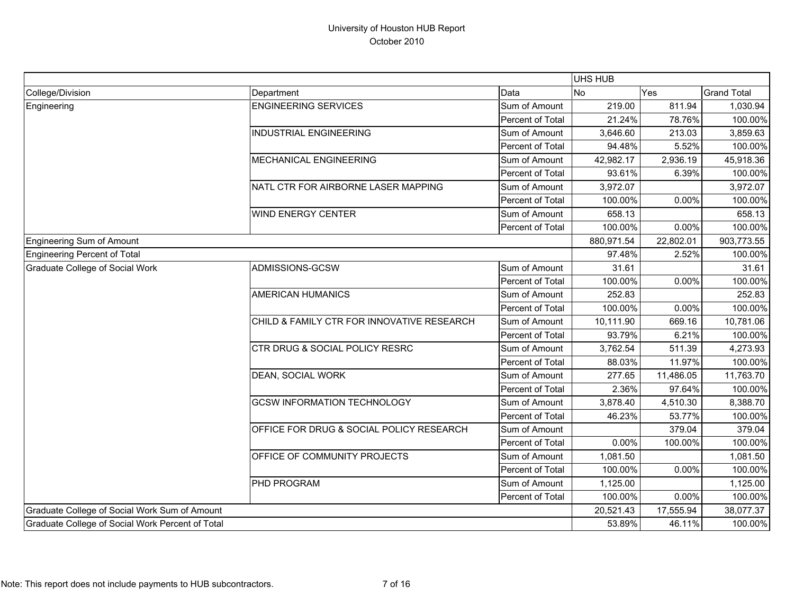|                                                  |                                                     |                  | <b>UHS HUB</b> |           |                    |
|--------------------------------------------------|-----------------------------------------------------|------------------|----------------|-----------|--------------------|
| College/Division                                 | Department                                          | Data             | <b>No</b>      | Yes       | <b>Grand Total</b> |
| Engineering                                      | <b>ENGINEERING SERVICES</b>                         | Sum of Amount    | 219.00         | 811.94    | 1,030.94           |
|                                                  |                                                     | Percent of Total | 21.24%         | 78.76%    | 100.00%            |
|                                                  | <b>INDUSTRIAL ENGINEERING</b>                       | Sum of Amount    | 3,646.60       | 213.03    | 3,859.63           |
|                                                  |                                                     | Percent of Total | 94.48%         | 5.52%     | 100.00%            |
|                                                  | MECHANICAL ENGINEERING                              | Sum of Amount    | 42,982.17      | 2,936.19  | 45,918.36          |
|                                                  |                                                     | Percent of Total | 93.61%         | 6.39%     | 100.00%            |
|                                                  | NATL CTR FOR AIRBORNE LASER MAPPING                 | Sum of Amount    | 3,972.07       |           | 3,972.07           |
|                                                  |                                                     | Percent of Total | 100.00%        | 0.00%     | 100.00%            |
|                                                  | <b>WIND ENERGY CENTER</b>                           | Sum of Amount    | 658.13         |           | 658.13             |
|                                                  |                                                     | Percent of Total | 100.00%        | 0.00%     | 100.00%            |
| <b>Engineering Sum of Amount</b>                 |                                                     |                  | 880,971.54     | 22,802.01 | 903,773.55         |
| <b>Engineering Percent of Total</b>              |                                                     |                  | 97.48%         | 2.52%     | 100.00%            |
| <b>Graduate College of Social Work</b>           | ADMISSIONS-GCSW                                     | Sum of Amount    | 31.61          |           | 31.61              |
|                                                  |                                                     | Percent of Total | 100.00%        | 0.00%     | 100.00%            |
|                                                  | <b>AMERICAN HUMANICS</b>                            | Sum of Amount    | 252.83         |           | 252.83             |
|                                                  |                                                     | Percent of Total | 100.00%        | 0.00%     | 100.00%            |
|                                                  | CHILD & FAMILY CTR FOR INNOVATIVE RESEARCH          | Sum of Amount    | 10,111.90      | 669.16    | 10,781.06          |
|                                                  |                                                     | Percent of Total | 93.79%         | 6.21%     | 100.00%            |
|                                                  | CTR DRUG & SOCIAL POLICY RESRC                      | Sum of Amount    | 3,762.54       | 511.39    | 4,273.93           |
|                                                  |                                                     | Percent of Total | 88.03%         | 11.97%    | 100.00%            |
|                                                  | <b>DEAN, SOCIAL WORK</b>                            | Sum of Amount    | 277.65         | 11,486.05 | 11,763.70          |
|                                                  |                                                     | Percent of Total | 2.36%          | 97.64%    | 100.00%            |
|                                                  | <b>GCSW INFORMATION TECHNOLOGY</b>                  | Sum of Amount    | 3,878.40       | 4,510.30  | 8,388.70           |
|                                                  |                                                     | Percent of Total | 46.23%         | 53.77%    | 100.00%            |
|                                                  | <b>OFFICE FOR DRUG &amp; SOCIAL POLICY RESEARCH</b> | Sum of Amount    |                | 379.04    | 379.04             |
|                                                  |                                                     | Percent of Total | 0.00%          | 100.00%   | 100.00%            |
|                                                  | OFFICE OF COMMUNITY PROJECTS                        | Sum of Amount    | 1,081.50       |           | 1,081.50           |
|                                                  |                                                     | Percent of Total | 100.00%        | 0.00%     | 100.00%            |
|                                                  | PHD PROGRAM                                         | Sum of Amount    | 1,125.00       |           | 1,125.00           |
|                                                  |                                                     | Percent of Total | 100.00%        | 0.00%     | 100.00%            |
| Graduate College of Social Work Sum of Amount    |                                                     |                  | 20,521.43      | 17,555.94 | 38,077.37          |
| Graduate College of Social Work Percent of Total |                                                     |                  | 53.89%         | 46.11%    | 100.00%            |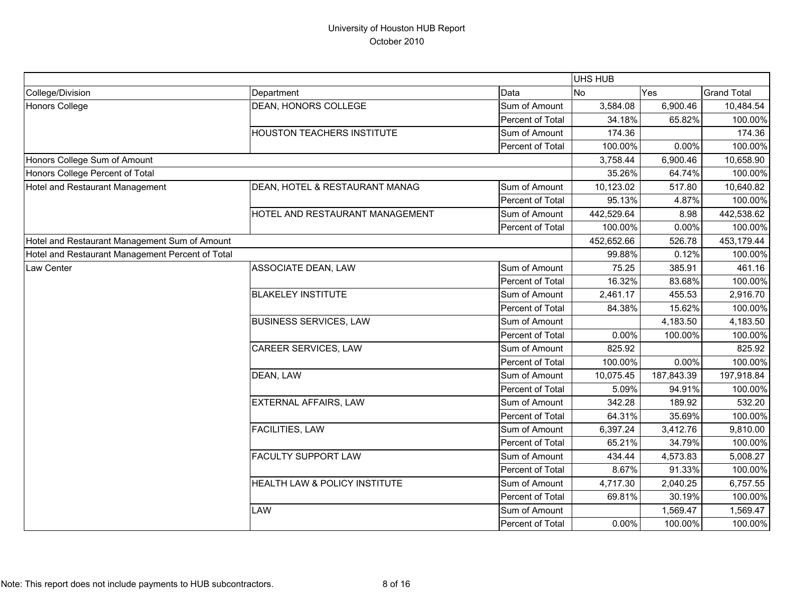|                                                  |                                   |                  | <b>UHS HUB</b> |            |                    |
|--------------------------------------------------|-----------------------------------|------------------|----------------|------------|--------------------|
| College/Division                                 | Department                        | Data             | No             | Yes        | <b>Grand Total</b> |
| <b>Honors College</b>                            | DEAN, HONORS COLLEGE              | Sum of Amount    | 3,584.08       | 6,900.46   | 10,484.54          |
|                                                  |                                   | Percent of Total | 34.18%         | 65.82%     | 100.00%            |
|                                                  | <b>HOUSTON TEACHERS INSTITUTE</b> | Sum of Amount    | 174.36         |            | 174.36             |
|                                                  |                                   | Percent of Total | 100.00%        | 0.00%      | 100.00%            |
| Honors College Sum of Amount                     |                                   |                  | 3,758.44       | 6,900.46   | 10,658.90          |
| Honors College Percent of Total                  |                                   |                  | 35.26%         | 64.74%     | 100.00%            |
| Hotel and Restaurant Management                  | DEAN, HOTEL & RESTAURANT MANAG    | Sum of Amount    | 10,123.02      | 517.80     | 10,640.82          |
|                                                  |                                   | Percent of Total | 95.13%         | 4.87%      | 100.00%            |
|                                                  | HOTEL AND RESTAURANT MANAGEMENT   | Sum of Amount    | 442,529.64     | 8.98       | 442,538.62         |
|                                                  |                                   | Percent of Total | 100.00%        | 0.00%      | 100.00%            |
| Hotel and Restaurant Management Sum of Amount    |                                   |                  | 452,652.66     | 526.78     | 453,179.44         |
| Hotel and Restaurant Management Percent of Total |                                   |                  | 99.88%         | 0.12%      | 100.00%            |
| Law Center                                       | ASSOCIATE DEAN, LAW               | Sum of Amount    | 75.25          | 385.91     | 461.16             |
|                                                  |                                   | Percent of Total | 16.32%         | 83.68%     | 100.00%            |
|                                                  | <b>BLAKELEY INSTITUTE</b>         | Sum of Amount    | 2,461.17       | 455.53     | 2,916.70           |
|                                                  |                                   | Percent of Total | 84.38%         | 15.62%     | 100.00%            |
|                                                  | <b>BUSINESS SERVICES, LAW</b>     | Sum of Amount    |                | 4,183.50   | 4,183.50           |
|                                                  |                                   | Percent of Total | 0.00%          | 100.00%    | 100.00%            |
|                                                  | CAREER SERVICES, LAW              | Sum of Amount    | 825.92         |            | 825.92             |
|                                                  |                                   | Percent of Total | 100.00%        | 0.00%      | 100.00%            |
|                                                  | DEAN, LAW                         | Sum of Amount    | 10,075.45      | 187,843.39 | 197,918.84         |
|                                                  |                                   | Percent of Total | 5.09%          | 94.91%     | 100.00%            |
|                                                  | <b>EXTERNAL AFFAIRS, LAW</b>      | Sum of Amount    | 342.28         | 189.92     | 532.20             |
|                                                  |                                   | Percent of Total | 64.31%         | 35.69%     | 100.00%            |
|                                                  | FACILITIES, LAW                   | Sum of Amount    | 6,397.24       | 3,412.76   | 9,810.00           |
|                                                  |                                   | Percent of Total | 65.21%         | 34.79%     | 100.00%            |
|                                                  | <b>FACULTY SUPPORT LAW</b>        | Sum of Amount    | 434.44         | 4,573.83   | 5,008.27           |
|                                                  |                                   | Percent of Total | 8.67%          | 91.33%     | 100.00%            |
|                                                  | HEALTH LAW & POLICY INSTITUTE     | Sum of Amount    | 4,717.30       | 2,040.25   | 6,757.55           |
|                                                  |                                   | Percent of Total | 69.81%         | 30.19%     | 100.00%            |
|                                                  | LAW                               | Sum of Amount    |                | 1,569.47   | 1,569.47           |
|                                                  |                                   | Percent of Total | 0.00%          | 100.00%    | 100.00%            |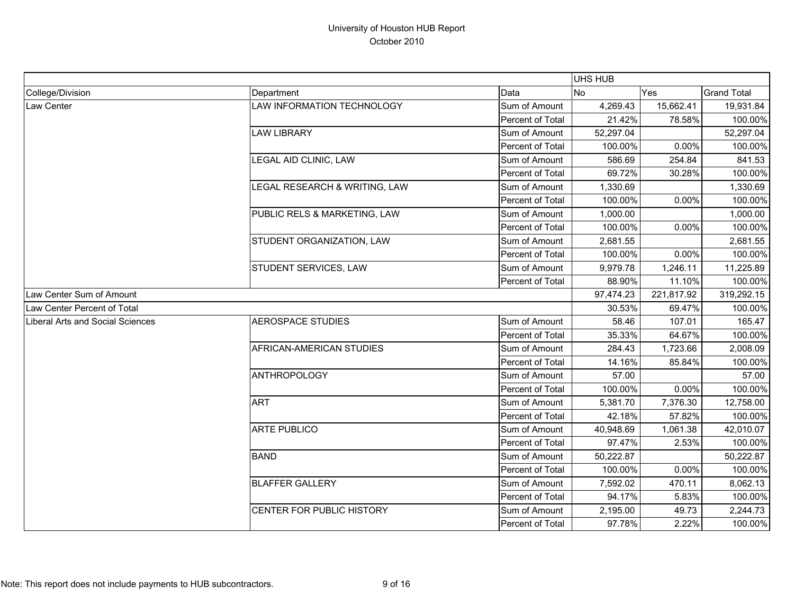|                                         |                               |                  | UHS HUB   |            |                    |
|-----------------------------------------|-------------------------------|------------------|-----------|------------|--------------------|
| College/Division                        | Department                    | Data             | <b>No</b> | Yes        | <b>Grand Total</b> |
| Law Center                              | LAW INFORMATION TECHNOLOGY    | Sum of Amount    | 4,269.43  | 15,662.41  | 19,931.84          |
|                                         |                               | Percent of Total | 21.42%    | 78.58%     | 100.00%            |
|                                         | <b>LAW LIBRARY</b>            | Sum of Amount    | 52,297.04 |            | 52,297.04          |
|                                         |                               | Percent of Total | 100.00%   | 0.00%      | 100.00%            |
|                                         | LEGAL AID CLINIC, LAW         | Sum of Amount    | 586.69    | 254.84     | 841.53             |
|                                         |                               | Percent of Total | 69.72%    | 30.28%     | 100.00%            |
|                                         | LEGAL RESEARCH & WRITING, LAW | Sum of Amount    | 1,330.69  |            | 1,330.69           |
|                                         |                               | Percent of Total | 100.00%   | 0.00%      | 100.00%            |
|                                         | PUBLIC RELS & MARKETING, LAW  | Sum of Amount    | 1,000.00  |            | 1,000.00           |
|                                         |                               | Percent of Total | 100.00%   | 0.00%      | 100.00%            |
|                                         | STUDENT ORGANIZATION, LAW     | Sum of Amount    | 2,681.55  |            | 2,681.55           |
|                                         |                               | Percent of Total | 100.00%   | 0.00%      | 100.00%            |
|                                         | STUDENT SERVICES, LAW         | Sum of Amount    | 9,979.78  | 1,246.11   | 11,225.89          |
|                                         |                               | Percent of Total | 88.90%    | 11.10%     | 100.00%            |
| Law Center Sum of Amount                |                               |                  | 97,474.23 | 221,817.92 | 319,292.15         |
| Law Center Percent of Total             |                               |                  | 30.53%    | 69.47%     | 100.00%            |
| <b>Liberal Arts and Social Sciences</b> | <b>AEROSPACE STUDIES</b>      | Sum of Amount    | 58.46     | 107.01     | 165.47             |
|                                         |                               | Percent of Total | 35.33%    | 64.67%     | 100.00%            |
|                                         | AFRICAN-AMERICAN STUDIES      | Sum of Amount    | 284.43    | 1,723.66   | 2,008.09           |
|                                         |                               | Percent of Total | 14.16%    | 85.84%     | 100.00%            |
|                                         | <b>ANTHROPOLOGY</b>           | Sum of Amount    | 57.00     |            | 57.00              |
|                                         |                               | Percent of Total | 100.00%   | 0.00%      | 100.00%            |
|                                         | <b>ART</b>                    | Sum of Amount    | 5,381.70  | 7,376.30   | 12,758.00          |
|                                         |                               | Percent of Total | 42.18%    | 57.82%     | 100.00%            |
|                                         | <b>ARTE PUBLICO</b>           | Sum of Amount    | 40,948.69 | 1,061.38   | 42,010.07          |
|                                         |                               | Percent of Total | 97.47%    | 2.53%      | 100.00%            |
|                                         | <b>BAND</b>                   | Sum of Amount    | 50,222.87 |            | 50,222.87          |
|                                         |                               | Percent of Total | 100.00%   | 0.00%      | 100.00%            |
|                                         | <b>BLAFFER GALLERY</b>        | Sum of Amount    | 7,592.02  | 470.11     | 8,062.13           |
|                                         |                               | Percent of Total | 94.17%    | 5.83%      | 100.00%            |
|                                         | CENTER FOR PUBLIC HISTORY     | Sum of Amount    | 2,195.00  | 49.73      | 2,244.73           |
|                                         |                               | Percent of Total | 97.78%    | 2.22%      | 100.00%            |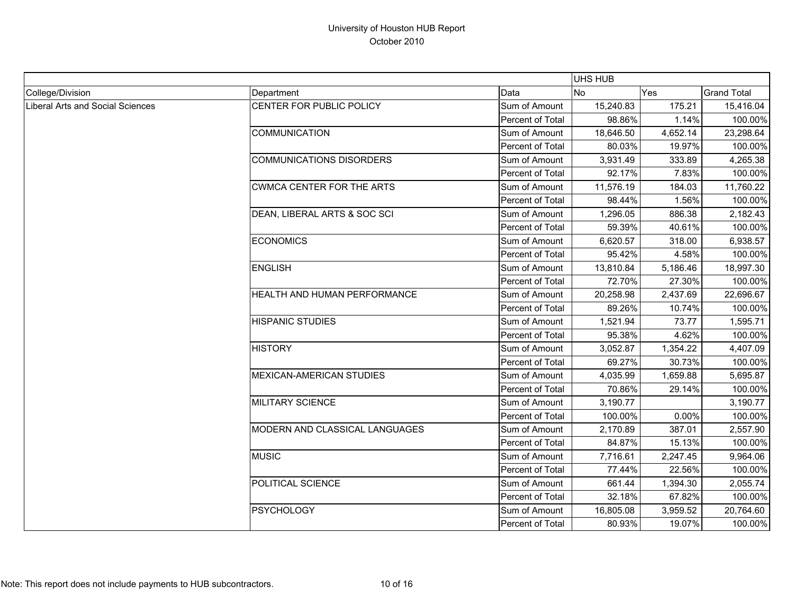|                                  |                                  |                  | UHS HUB    |          |                    |
|----------------------------------|----------------------------------|------------------|------------|----------|--------------------|
| College/Division                 | Department                       | Data             | <b>INo</b> | Yes      | <b>Grand Total</b> |
| Liberal Arts and Social Sciences | CENTER FOR PUBLIC POLICY         | Sum of Amount    | 15,240.83  | 175.21   | 15,416.04          |
|                                  |                                  | Percent of Total | 98.86%     | 1.14%    | 100.00%            |
|                                  | <b>COMMUNICATION</b>             | Sum of Amount    | 18,646.50  | 4,652.14 | 23,298.64          |
|                                  |                                  | Percent of Total | 80.03%     | 19.97%   | 100.00%            |
|                                  | <b>COMMUNICATIONS DISORDERS</b>  | Sum of Amount    | 3,931.49   | 333.89   | 4,265.38           |
|                                  |                                  | Percent of Total | 92.17%     | 7.83%    | 100.00%            |
|                                  | <b>CWMCA CENTER FOR THE ARTS</b> | Sum of Amount    | 11,576.19  | 184.03   | 11,760.22          |
|                                  |                                  | Percent of Total | 98.44%     | 1.56%    | 100.00%            |
|                                  | DEAN, LIBERAL ARTS & SOC SCI     | Sum of Amount    | 1,296.05   | 886.38   | 2,182.43           |
|                                  |                                  | Percent of Total | 59.39%     | 40.61%   | 100.00%            |
|                                  | <b>ECONOMICS</b>                 | Sum of Amount    | 6,620.57   | 318.00   | 6,938.57           |
|                                  |                                  | Percent of Total | 95.42%     | 4.58%    | 100.00%            |
|                                  | <b>ENGLISH</b>                   | Sum of Amount    | 13,810.84  | 5,186.46 | 18,997.30          |
|                                  |                                  | Percent of Total | 72.70%     | 27.30%   | 100.00%            |
|                                  | HEALTH AND HUMAN PERFORMANCE     | Sum of Amount    | 20,258.98  | 2,437.69 | 22,696.67          |
|                                  |                                  | Percent of Total | 89.26%     | 10.74%   | 100.00%            |
|                                  | <b>HISPANIC STUDIES</b>          | Sum of Amount    | 1,521.94   | 73.77    | 1,595.71           |
|                                  |                                  | Percent of Total | 95.38%     | 4.62%    | 100.00%            |
|                                  | <b>HISTORY</b>                   | Sum of Amount    | 3,052.87   | 1,354.22 | 4,407.09           |
|                                  |                                  | Percent of Total | 69.27%     | 30.73%   | 100.00%            |
|                                  | <b>MEXICAN-AMERICAN STUDIES</b>  | Sum of Amount    | 4,035.99   | 1,659.88 | 5,695.87           |
|                                  |                                  | Percent of Total | 70.86%     | 29.14%   | 100.00%            |
|                                  | <b>MILITARY SCIENCE</b>          | Sum of Amount    | 3,190.77   |          | 3,190.77           |
|                                  |                                  | Percent of Total | 100.00%    | 0.00%    | 100.00%            |
|                                  | MODERN AND CLASSICAL LANGUAGES   | Sum of Amount    | 2,170.89   | 387.01   | 2,557.90           |
|                                  |                                  | Percent of Total | 84.87%     | 15.13%   | 100.00%            |
|                                  | <b>MUSIC</b>                     | Sum of Amount    | 7,716.61   | 2,247.45 | 9,964.06           |
|                                  |                                  | Percent of Total | 77.44%     | 22.56%   | 100.00%            |
|                                  | POLITICAL SCIENCE                | Sum of Amount    | 661.44     | 1,394.30 | 2,055.74           |
|                                  |                                  | Percent of Total | 32.18%     | 67.82%   | 100.00%            |
|                                  | <b>PSYCHOLOGY</b>                | Sum of Amount    | 16,805.08  | 3,959.52 | 20,764.60          |
|                                  |                                  | Percent of Total | 80.93%     | 19.07%   | 100.00%            |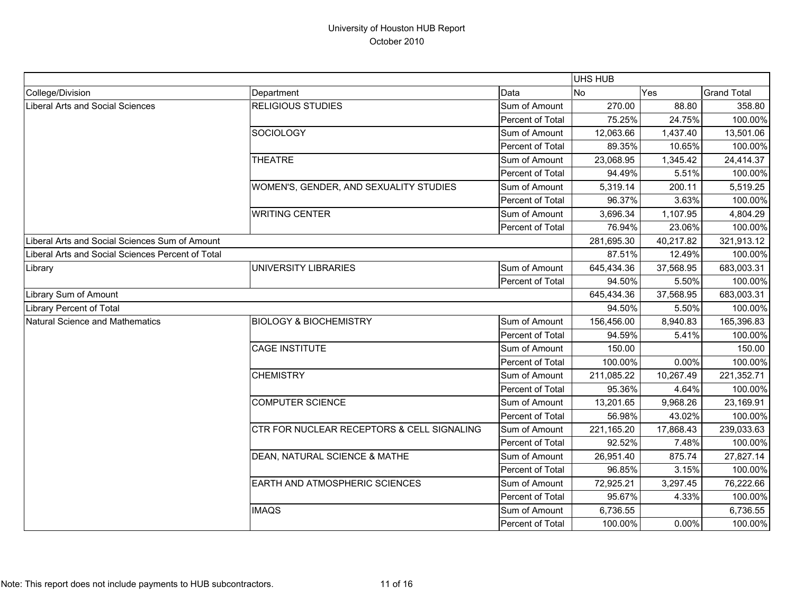|                                                   |                                            |                  | UHS HUB    |           |                    |
|---------------------------------------------------|--------------------------------------------|------------------|------------|-----------|--------------------|
| College/Division                                  | Department                                 | Data             | No         | Yes       | <b>Grand Total</b> |
| <b>Liberal Arts and Social Sciences</b>           | <b>RELIGIOUS STUDIES</b>                   | Sum of Amount    | 270.00     | 88.80     | 358.80             |
|                                                   |                                            | Percent of Total | 75.25%     | 24.75%    | 100.00%            |
|                                                   | <b>SOCIOLOGY</b>                           | Sum of Amount    | 12,063.66  | 1,437.40  | 13,501.06          |
|                                                   |                                            | Percent of Total | 89.35%     | 10.65%    | 100.00%            |
|                                                   | <b>THEATRE</b>                             | Sum of Amount    | 23,068.95  | 1,345.42  | 24,414.37          |
|                                                   |                                            | Percent of Total | 94.49%     | 5.51%     | 100.00%            |
|                                                   | WOMEN'S, GENDER, AND SEXUALITY STUDIES     | Sum of Amount    | 5,319.14   | 200.11    | 5,519.25           |
|                                                   |                                            | Percent of Total | 96.37%     | 3.63%     | 100.00%            |
|                                                   | <b>WRITING CENTER</b>                      | Sum of Amount    | 3,696.34   | 1,107.95  | 4,804.29           |
|                                                   |                                            | Percent of Total | 76.94%     | 23.06%    | 100.00%            |
| Liberal Arts and Social Sciences Sum of Amount    |                                            |                  | 281,695.30 | 40,217.82 | 321,913.12         |
| Liberal Arts and Social Sciences Percent of Total |                                            |                  | 87.51%     | 12.49%    | 100.00%            |
| Library                                           | UNIVERSITY LIBRARIES                       | Sum of Amount    | 645,434.36 | 37,568.95 | 683,003.31         |
|                                                   |                                            | Percent of Total | 94.50%     | 5.50%     | 100.00%            |
| Library Sum of Amount                             |                                            |                  | 645,434.36 | 37,568.95 | 683,003.31         |
| <b>Library Percent of Total</b>                   |                                            |                  | 94.50%     | 5.50%     | 100.00%            |
| <b>Natural Science and Mathematics</b>            | <b>BIOLOGY &amp; BIOCHEMISTRY</b>          | Sum of Amount    | 156,456.00 | 8,940.83  | 165,396.83         |
|                                                   |                                            | Percent of Total | 94.59%     | 5.41%     | 100.00%            |
|                                                   | <b>CAGE INSTITUTE</b>                      | Sum of Amount    | 150.00     |           | 150.00             |
|                                                   |                                            | Percent of Total | 100.00%    | $0.00\%$  | 100.00%            |
|                                                   | <b>CHEMISTRY</b>                           | Sum of Amount    | 211,085.22 | 10,267.49 | 221,352.71         |
|                                                   |                                            | Percent of Total | 95.36%     | 4.64%     | 100.00%            |
|                                                   | <b>COMPUTER SCIENCE</b>                    | Sum of Amount    | 13,201.65  | 9,968.26  | 23,169.91          |
|                                                   |                                            | Percent of Total | 56.98%     | 43.02%    | 100.00%            |
|                                                   | CTR FOR NUCLEAR RECEPTORS & CELL SIGNALING | Sum of Amount    | 221,165.20 | 17,868.43 | 239,033.63         |
|                                                   |                                            | Percent of Total | 92.52%     | 7.48%     | 100.00%            |
|                                                   | DEAN, NATURAL SCIENCE & MATHE              | Sum of Amount    | 26,951.40  | 875.74    | 27,827.14          |
|                                                   |                                            | Percent of Total | 96.85%     | 3.15%     | 100.00%            |
|                                                   | EARTH AND ATMOSPHERIC SCIENCES             | Sum of Amount    | 72,925.21  | 3,297.45  | 76,222.66          |
|                                                   |                                            | Percent of Total | 95.67%     | 4.33%     | 100.00%            |
|                                                   | <b>IMAQS</b>                               | Sum of Amount    | 6,736.55   |           | 6,736.55           |
|                                                   |                                            | Percent of Total | 100.00%    | 0.00%     | 100.00%            |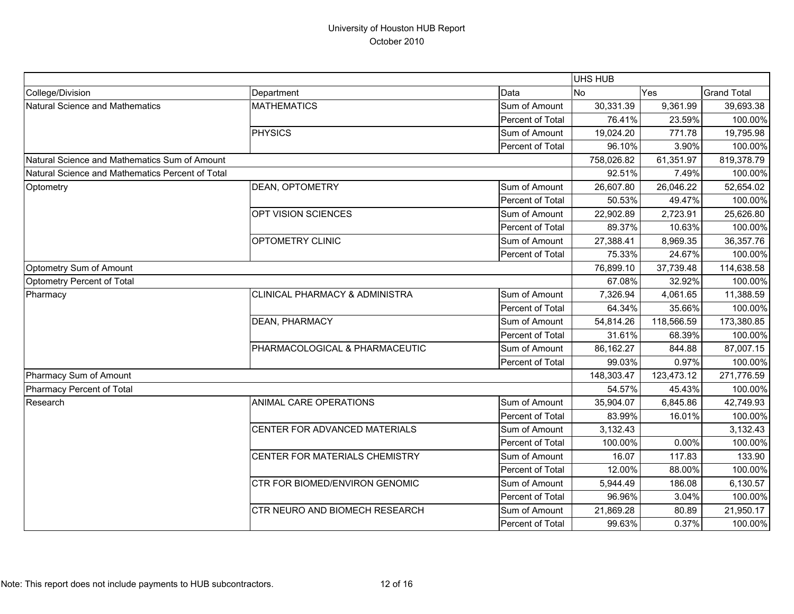|                                                  |                                       |                  | <b>UHS HUB</b> |            |                    |
|--------------------------------------------------|---------------------------------------|------------------|----------------|------------|--------------------|
| College/Division                                 | Department                            | Data             | No             | Yes        | <b>Grand Total</b> |
| <b>Natural Science and Mathematics</b>           | <b>MATHEMATICS</b>                    | Sum of Amount    | 30,331.39      | 9,361.99   | 39,693.38          |
|                                                  |                                       | Percent of Total | 76.41%         | 23.59%     | 100.00%            |
|                                                  | <b>PHYSICS</b>                        | Sum of Amount    | 19,024.20      | 771.78     | 19,795.98          |
|                                                  |                                       | Percent of Total | 96.10%         | 3.90%      | 100.00%            |
| Natural Science and Mathematics Sum of Amount    |                                       |                  | 758,026.82     | 61,351.97  | 819,378.79         |
| Natural Science and Mathematics Percent of Total |                                       |                  | 92.51%         | 7.49%      | 100.00%            |
| Optometry                                        | DEAN, OPTOMETRY                       | Sum of Amount    | 26,607.80      | 26,046.22  | 52,654.02          |
|                                                  |                                       | Percent of Total | 50.53%         | 49.47%     | 100.00%            |
|                                                  | OPT VISION SCIENCES                   | Sum of Amount    | 22,902.89      | 2,723.91   | 25,626.80          |
|                                                  |                                       | Percent of Total | 89.37%         | 10.63%     | 100.00%            |
|                                                  | <b>OPTOMETRY CLINIC</b>               | Sum of Amount    | 27,388.41      | 8,969.35   | 36,357.76          |
|                                                  |                                       | Percent of Total | 75.33%         | 24.67%     | 100.00%            |
| Optometry Sum of Amount                          |                                       |                  | 76,899.10      | 37,739.48  | 114,638.58         |
| Optometry Percent of Total                       |                                       |                  | 67.08%         | 32.92%     | 100.00%            |
| Pharmacy                                         | CLINICAL PHARMACY & ADMINISTRA        | Sum of Amount    | 7,326.94       | 4,061.65   | 11,388.59          |
|                                                  |                                       | Percent of Total | 64.34%         | 35.66%     | 100.00%            |
|                                                  | DEAN, PHARMACY                        | Sum of Amount    | 54,814.26      | 118,566.59 | 173,380.85         |
|                                                  |                                       | Percent of Total | 31.61%         | 68.39%     | 100.00%            |
|                                                  | PHARMACOLOGICAL & PHARMACEUTIC        | Sum of Amount    | 86,162.27      | 844.88     | 87,007.15          |
|                                                  |                                       | Percent of Total | 99.03%         | 0.97%      | 100.00%            |
| Pharmacy Sum of Amount                           |                                       |                  | 148,303.47     | 123,473.12 | 271,776.59         |
| Pharmacy Percent of Total                        |                                       |                  | 54.57%         | 45.43%     | 100.00%            |
| Research                                         | ANIMAL CARE OPERATIONS                | Sum of Amount    | 35,904.07      | 6,845.86   | 42,749.93          |
|                                                  |                                       | Percent of Total | 83.99%         | 16.01%     | 100.00%            |
|                                                  | CENTER FOR ADVANCED MATERIALS         | Sum of Amount    | 3,132.43       |            | 3,132.43           |
|                                                  |                                       | Percent of Total | 100.00%        | 0.00%      | 100.00%            |
|                                                  | CENTER FOR MATERIALS CHEMISTRY        | Sum of Amount    | 16.07          | 117.83     | 133.90             |
|                                                  |                                       | Percent of Total | 12.00%         | 88.00%     | 100.00%            |
|                                                  | CTR FOR BIOMED/ENVIRON GENOMIC        | Sum of Amount    | 5,944.49       | 186.08     | 6,130.57           |
|                                                  |                                       | Percent of Total | 96.96%         | 3.04%      | 100.00%            |
|                                                  | <b>CTR NEURO AND BIOMECH RESEARCH</b> | Sum of Amount    | 21,869.28      | 80.89      | 21,950.17          |
|                                                  |                                       | Percent of Total | 99.63%         | 0.37%      | 100.00%            |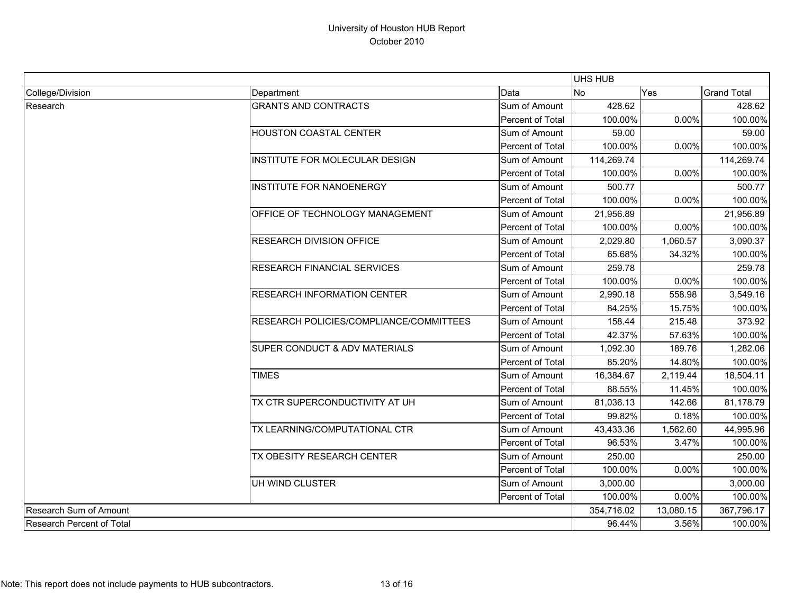|                           |                                         |                  | UHS HUB    |            |                    |
|---------------------------|-----------------------------------------|------------------|------------|------------|--------------------|
| College/Division          | Department                              | Data             | No         | Yes        | <b>Grand Total</b> |
| Research                  | <b>GRANTS AND CONTRACTS</b>             | Sum of Amount    | 428.62     |            | 428.62             |
|                           |                                         | Percent of Total | 100.00%    | 0.00%      | 100.00%            |
|                           | <b>HOUSTON COASTAL CENTER</b>           | Sum of Amount    | 59.00      |            | 59.00              |
|                           |                                         | Percent of Total | 100.00%    | 0.00%      | 100.00%            |
|                           | INSTITUTE FOR MOLECULAR DESIGN          | Sum of Amount    | 114,269.74 |            | 114,269.74         |
|                           |                                         | Percent of Total | 100.00%    | 0.00%      | 100.00%            |
|                           | <b>INSTITUTE FOR NANOENERGY</b>         | Sum of Amount    | 500.77     |            | 500.77             |
|                           |                                         | Percent of Total | 100.00%    | 0.00%      | 100.00%            |
|                           | OFFICE OF TECHNOLOGY MANAGEMENT         | Sum of Amount    | 21,956.89  |            | 21,956.89          |
|                           |                                         | Percent of Total | 100.00%    | 0.00%      | 100.00%            |
|                           | <b>RESEARCH DIVISION OFFICE</b>         | Sum of Amount    | 2,029.80   | 1,060.57   | 3,090.37           |
|                           |                                         | Percent of Total | 65.68%     | 34.32%     | 100.00%            |
|                           | RESEARCH FINANCIAL SERVICES             | Sum of Amount    | 259.78     |            | 259.78             |
|                           |                                         | Percent of Total | 100.00%    | 0.00%      | 100.00%            |
|                           | RESEARCH INFORMATION CENTER             | Sum of Amount    | 2,990.18   | 558.98     | 3,549.16           |
|                           |                                         | Percent of Total | 84.25%     | 15.75%     | 100.00%            |
|                           | RESEARCH POLICIES/COMPLIANCE/COMMITTEES | Sum of Amount    | 158.44     | 215.48     | 373.92             |
|                           |                                         | Percent of Total | 42.37%     | 57.63%     | 100.00%            |
|                           | SUPER CONDUCT & ADV MATERIALS           | Sum of Amount    | 1,092.30   | 189.76     | 1,282.06           |
|                           |                                         | Percent of Total | 85.20%     | 14.80%     | 100.00%            |
|                           | <b>TIMES</b>                            | Sum of Amount    | 16,384.67  | 2,119.44   | 18,504.11          |
|                           |                                         | Percent of Total | 88.55%     | 11.45%     | 100.00%            |
|                           | TX CTR SUPERCONDUCTIVITY AT UH          | Sum of Amount    | 81,036.13  | 142.66     | 81,178.79          |
|                           |                                         | Percent of Total | 99.82%     | 0.18%      | 100.00%            |
|                           | TX LEARNING/COMPUTATIONAL CTR           | Sum of Amount    | 43,433.36  | 1,562.60   | 44,995.96          |
|                           |                                         | Percent of Total | 96.53%     | 3.47%      | 100.00%            |
|                           | TX OBESITY RESEARCH CENTER              | Sum of Amount    | 250.00     |            | 250.00             |
|                           |                                         | Percent of Total | 100.00%    | $0.00\%$   | 100.00%            |
|                           | UH WIND CLUSTER                         | Sum of Amount    | 3,000.00   |            | 3,000.00           |
|                           |                                         | Percent of Total | 100.00%    | 0.00%      | 100.00%            |
| Research Sum of Amount    |                                         | 354,716.02       | 13,080.15  | 367,796.17 |                    |
| Research Percent of Total |                                         |                  | 96.44%     | 3.56%      | 100.00%            |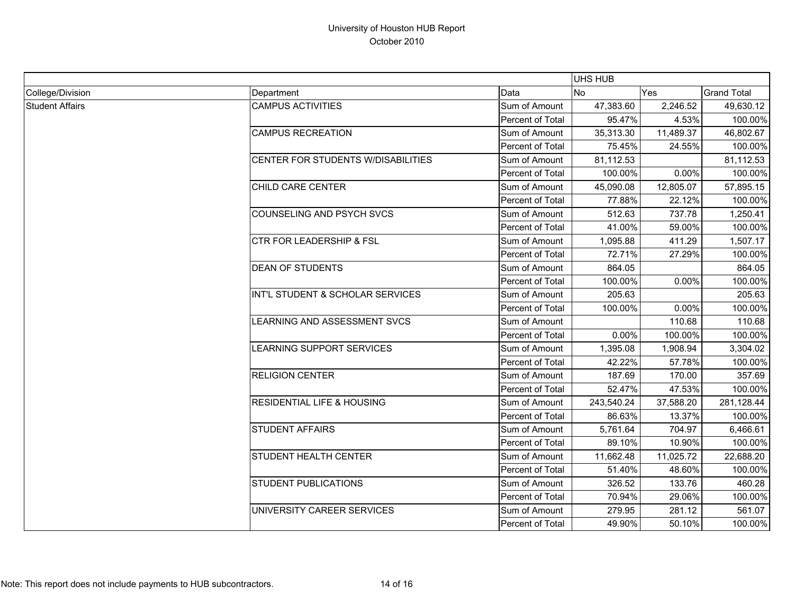|                        |                                       |                  | <b>UHS HUB</b> |            |                    |  |
|------------------------|---------------------------------------|------------------|----------------|------------|--------------------|--|
| College/Division       | Department                            | Data             | <b>No</b>      | <b>Yes</b> | <b>Grand Total</b> |  |
| <b>Student Affairs</b> | <b>CAMPUS ACTIVITIES</b>              | Sum of Amount    | 47,383.60      | 2,246.52   | 49,630.12          |  |
|                        |                                       | Percent of Total | 95.47%         | 4.53%      | 100.00%            |  |
|                        | <b>CAMPUS RECREATION</b>              | Sum of Amount    | 35,313.30      | 11,489.37  | 46,802.67          |  |
|                        |                                       | Percent of Total | 75.45%         | 24.55%     | 100.00%            |  |
|                        | CENTER FOR STUDENTS W/DISABILITIES    | Sum of Amount    | 81,112.53      |            | 81,112.53          |  |
|                        |                                       | Percent of Total | 100.00%        | 0.00%      | 100.00%            |  |
|                        | CHILD CARE CENTER                     | Sum of Amount    | 45,090.08      | 12,805.07  | 57,895.15          |  |
|                        |                                       | Percent of Total | 77.88%         | 22.12%     | 100.00%            |  |
|                        | <b>COUNSELING AND PSYCH SVCS</b>      | Sum of Amount    | 512.63         | 737.78     | 1,250.41           |  |
|                        |                                       | Percent of Total | 41.00%         | 59.00%     | 100.00%            |  |
|                        | <b>CTR FOR LEADERSHIP &amp; FSL</b>   | Sum of Amount    | 1,095.88       | 411.29     | 1,507.17           |  |
|                        |                                       | Percent of Total | 72.71%         | 27.29%     | 100.00%            |  |
|                        | <b>DEAN OF STUDENTS</b>               | Sum of Amount    | 864.05         |            | 864.05             |  |
|                        |                                       | Percent of Total | 100.00%        | 0.00%      | 100.00%            |  |
|                        | INT'L STUDENT & SCHOLAR SERVICES      | Sum of Amount    | 205.63         |            | 205.63             |  |
|                        |                                       | Percent of Total | 100.00%        | 0.00%      | 100.00%            |  |
|                        | LEARNING AND ASSESSMENT SVCS          | Sum of Amount    |                | 110.68     | 110.68             |  |
|                        |                                       | Percent of Total | 0.00%          | 100.00%    | 100.00%            |  |
|                        | LEARNING SUPPORT SERVICES             | Sum of Amount    | 1,395.08       | 1,908.94   | 3,304.02           |  |
|                        |                                       | Percent of Total | 42.22%         | 57.78%     | 100.00%            |  |
|                        | <b>RELIGION CENTER</b>                | Sum of Amount    | 187.69         | 170.00     | 357.69             |  |
|                        |                                       | Percent of Total | 52.47%         | 47.53%     | 100.00%            |  |
|                        | <b>RESIDENTIAL LIFE &amp; HOUSING</b> | Sum of Amount    | 243,540.24     | 37,588.20  | 281,128.44         |  |
|                        |                                       | Percent of Total | 86.63%         | 13.37%     | 100.00%            |  |
|                        | <b>STUDENT AFFAIRS</b>                | Sum of Amount    | 5,761.64       | 704.97     | 6,466.61           |  |
|                        |                                       | Percent of Total | 89.10%         | 10.90%     | 100.00%            |  |
|                        | <b>STUDENT HEALTH CENTER</b>          | Sum of Amount    | 11,662.48      | 11,025.72  | 22,688.20          |  |
|                        |                                       | Percent of Total | 51.40%         | 48.60%     | 100.00%            |  |
|                        | <b>STUDENT PUBLICATIONS</b>           | Sum of Amount    | 326.52         | 133.76     | 460.28             |  |
|                        |                                       | Percent of Total | 70.94%         | 29.06%     | 100.00%            |  |
|                        | UNIVERSITY CAREER SERVICES            | Sum of Amount    | 279.95         | 281.12     | 561.07             |  |
|                        |                                       | Percent of Total | 49.90%         | 50.10%     | 100.00%            |  |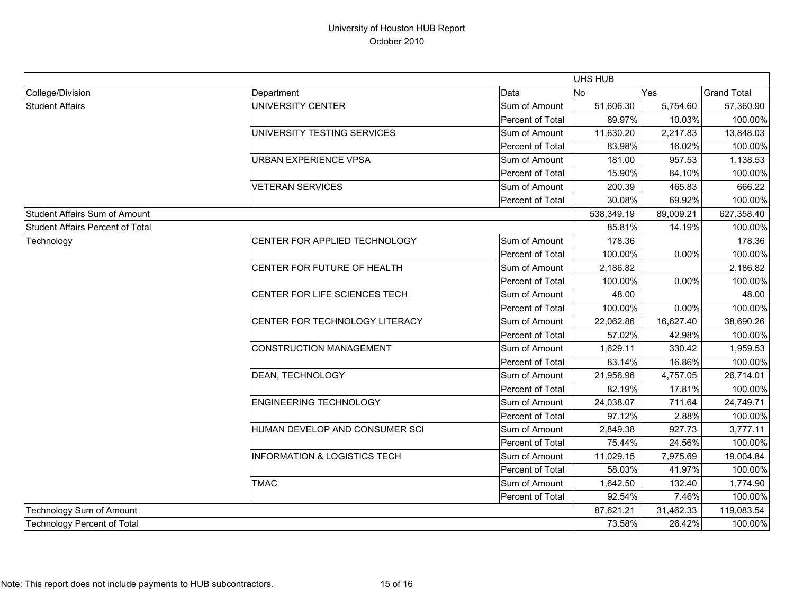|                                         |                                         |                  | <b>UHS HUB</b> |           |                    |
|-----------------------------------------|-----------------------------------------|------------------|----------------|-----------|--------------------|
| College/Division                        | Department                              | Data             | No             | Yes       | <b>Grand Total</b> |
| <b>Student Affairs</b>                  | <b>UNIVERSITY CENTER</b>                | Sum of Amount    | 51,606.30      | 5,754.60  | 57,360.90          |
|                                         |                                         | Percent of Total | 89.97%         | 10.03%    | 100.00%            |
|                                         | UNIVERSITY TESTING SERVICES             | Sum of Amount    | 11,630.20      | 2,217.83  | 13,848.03          |
|                                         |                                         | Percent of Total | 83.98%         | 16.02%    | 100.00%            |
|                                         | <b>URBAN EXPERIENCE VPSA</b>            | Sum of Amount    | 181.00         | 957.53    | 1,138.53           |
|                                         |                                         | Percent of Total | 15.90%         | 84.10%    | 100.00%            |
|                                         | <b>VETERAN SERVICES</b>                 | Sum of Amount    | 200.39         | 465.83    | 666.22             |
|                                         |                                         | Percent of Total | 30.08%         | 69.92%    | 100.00%            |
| Student Affairs Sum of Amount           |                                         |                  | 538,349.19     | 89,009.21 | 627,358.40         |
| <b>Student Affairs Percent of Total</b> |                                         |                  | 85.81%         | 14.19%    | 100.00%            |
| Technology                              | CENTER FOR APPLIED TECHNOLOGY           | Sum of Amount    | 178.36         |           | 178.36             |
|                                         |                                         | Percent of Total | 100.00%        | 0.00%     | 100.00%            |
|                                         | CENTER FOR FUTURE OF HEALTH             | Sum of Amount    | 2,186.82       |           | 2,186.82           |
|                                         |                                         | Percent of Total | 100.00%        | 0.00%     | 100.00%            |
|                                         | CENTER FOR LIFE SCIENCES TECH           | Sum of Amount    | 48.00          |           | 48.00              |
|                                         |                                         | Percent of Total | 100.00%        | 0.00%     | 100.00%            |
|                                         | CENTER FOR TECHNOLOGY LITERACY          | Sum of Amount    | 22,062.86      | 16,627.40 | 38,690.26          |
|                                         |                                         | Percent of Total | 57.02%         | 42.98%    | 100.00%            |
|                                         | <b>CONSTRUCTION MANAGEMENT</b>          | Sum of Amount    | 1,629.11       | 330.42    | 1,959.53           |
|                                         |                                         | Percent of Total | 83.14%         | 16.86%    | 100.00%            |
|                                         | DEAN, TECHNOLOGY                        | Sum of Amount    | 21,956.96      | 4,757.05  | 26,714.01          |
|                                         |                                         | Percent of Total | 82.19%         | 17.81%    | 100.00%            |
|                                         | <b>ENGINEERING TECHNOLOGY</b>           | Sum of Amount    | 24,038.07      | 711.64    | 24,749.71          |
|                                         |                                         | Percent of Total | 97.12%         | 2.88%     | 100.00%            |
|                                         | HUMAN DEVELOP AND CONSUMER SCI          | Sum of Amount    | 2,849.38       | 927.73    | 3,777.11           |
|                                         |                                         | Percent of Total | 75.44%         | 24.56%    | 100.00%            |
|                                         | <b>INFORMATION &amp; LOGISTICS TECH</b> | Sum of Amount    | 11,029.15      | 7,975.69  | 19,004.84          |
|                                         |                                         | Percent of Total | 58.03%         | 41.97%    | 100.00%            |
|                                         | <b>TMAC</b>                             | Sum of Amount    | 1,642.50       | 132.40    | 1,774.90           |
|                                         |                                         | Percent of Total | 92.54%         | 7.46%     | 100.00%            |
| Technology Sum of Amount                |                                         |                  | 87,621.21      | 31,462.33 | 119,083.54         |
| <b>Technology Percent of Total</b>      |                                         |                  | 73.58%         | 26.42%    | 100.00%            |